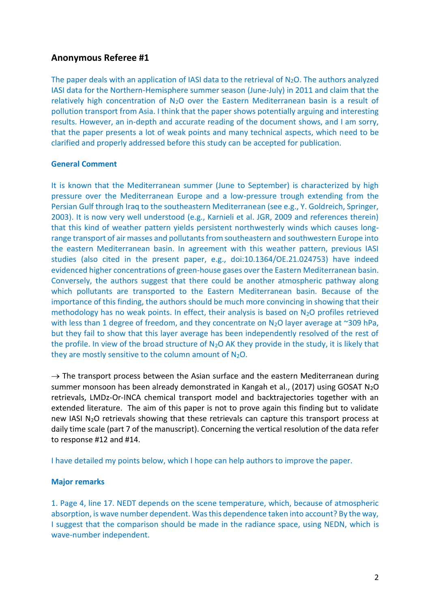## **Anonymous Referee #1**

The paper deals with an application of IASI data to the retrieval of  $N_2O$ . The authors analyzed IASI data for the Northern-Hemisphere summer season (June-July) in 2011 and claim that the relatively high concentration of  $N_2O$  over the Eastern Mediterranean basin is a result of pollution transport from Asia. I think that the paper shows potentially arguing and interesting results. However, an in-depth and accurate reading of the document shows, and I am sorry, that the paper presents a lot of weak points and many technical aspects, which need to be clarified and properly addressed before this study can be accepted for publication.

## **General Comment**

It is known that the Mediterranean summer (June to September) is characterized by high pressure over the Mediterranean Europe and a low-pressure trough extending from the Persian Gulf through Iraq to the southeastern Mediterranean (see e.g., Y. Goldreich, Springer, 2003). It is now very well understood (e.g., Karnieli et al. JGR, 2009 and references therein) that this kind of weather pattern yields persistent northwesterly winds which causes longrange transport of air masses and pollutants from southeastern and southwestern Europe into the eastern Mediterranean basin. In agreement with this weather pattern, previous IASI studies (also cited in the present paper, e.g., doi:10.1364/OE.21.024753) have indeed evidenced higher concentrations of green-house gases over the Eastern Mediterranean basin. Conversely, the authors suggest that there could be another atmospheric pathway along which pollutants are transported to the Eastern Mediterranean basin. Because of the importance of this finding, the authors should be much more convincing in showing that their methodology has no weak points. In effect, their analysis is based on  $N_2O$  profiles retrieved with less than 1 degree of freedom, and they concentrate on  $N_2O$  layer average at ~309 hPa, but they fail to show that this layer average has been independently resolved of the rest of the profile. In view of the broad structure of  $N_2O$  AK they provide in the study, it is likely that they are mostly sensitive to the column amount of  $N_2O$ .

 $\rightarrow$  The transport process between the Asian surface and the eastern Mediterranean during summer monsoon has been already demonstrated in Kangah et al., (2017) using GOSAT  $N_2O$ retrievals, LMDz-Or-INCA chemical transport model and backtrajectories together with an extended literature. The aim of this paper is not to prove again this finding but to validate new IASI N<sub>2</sub>O retrievals showing that these retrievals can capture this transport process at daily time scale (part 7 of the manuscript). Concerning the vertical resolution of the data refer to response #12 and #14.

I have detailed my points below, which I hope can help authors to improve the paper.

## **Major remarks**

1. Page 4, line 17. NEDT depends on the scene temperature, which, because of atmospheric absorption, is wave number dependent. Was this dependence taken into account? By the way, I suggest that the comparison should be made in the radiance space, using NEDN, which is wave-number independent.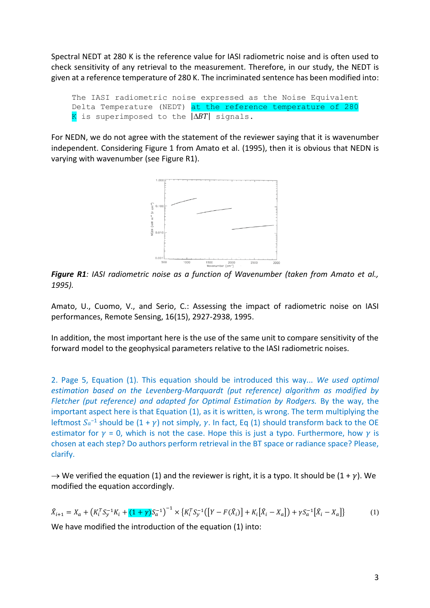Spectral NEDT at 280 K is the reference value for IASI radiometric noise and is often used to check sensitivity of any retrieval to the measurement. Therefore, in our study, the NEDT is given at a reference temperature of 280 K. The incriminated sentence has been modified into:

```
The IASI radiometric noise expressed as the Noise Equivalent 
Delta Temperature (NEDT) at the reference temperature of 280 
K is superimposed to the |\Delta BT| signals.
```
For NEDN, we do not agree with the statement of the reviewer saying that it is wavenumber independent. Considering Figure 1 from Amato et al. (1995), then it is obvious that NEDN is varying with wavenumber (see Figure R1).



*Figure R1: IASI radiometric noise as a function of Wavenumber (taken from Amato et al., 1995).*

Amato, U., Cuomo, V., and Serio, C.: Assessing the impact of radiometric noise on IASI performances, Remote Sensing, 16(15), 2927-2938, 1995.

In addition, the most important here is the use of the same unit to compare sensitivity of the forward model to the geophysical parameters relative to the IASI radiometric noises.

2. Page 5, Equation (1). This equation should be introduced this way... *We used optimal estimation based on the Levenberg-Marquardt (put reference) algorithm as modified by Fletcher (put reference) and adapted for Optimal Estimation by Rodgers.* By the way, the important aspect here is that Equation (1), as it is written, is wrong. The term multiplying the leftmost  $S_a^{-1}$  should be  $(1 + \gamma)$  not simply,  $\gamma$ . In fact, Eq (1) should transform back to the OE estimator for  $\gamma$  = 0, which is not the case. Hope this is just a typo. Furthermore, how  $\gamma$  is chosen at each step? Do authors perform retrieval in the BT space or radiance space? Please, clarify.

 $\rightarrow$  We verified the equation (1) and the reviewer is right, it is a typo. It should be (1 +  $\gamma$ ). We modified the equation accordingly.

$$
\hat{X}_{i+1} = X_a + \left(K_i^T S_y^{-1} K_i + (1 + \gamma) S_a^{-1}\right)^{-1} \times \left\{K_i^T S_y^{-1} \left(\left[Y - F(\hat{X}_i)\right] + K_i\left[\hat{X}_i - X_a\right]\right) + \gamma S_a^{-1} \left[\hat{X}_i - X_a\right]\right\} \tag{1}
$$

We have modified the introduction of the equation (1) into: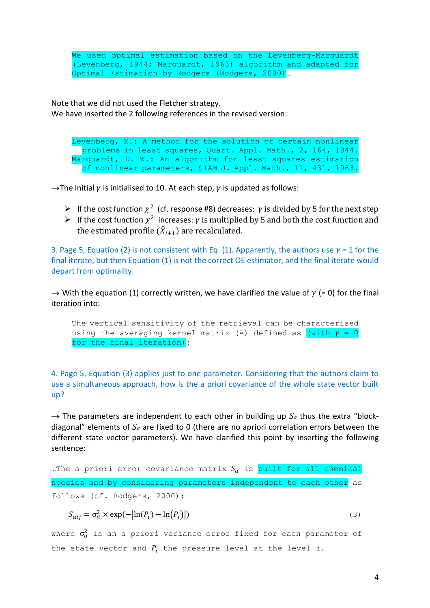We used optimal estimation based on the Levenberg-Marquardt (Levenberg, 1944; Marquardt, 1963) algorithm and adapted for Optimal Estimation by Rodgers (Rodgers, 2000)…

Note that we did not used the Fletcher strategy. We have inserted the 2 following references in the revised version:

Levenberg, K.: A method for the solution of certain nonlinear problems in least squares, Quart. Appl. Math., 2, 164, 1944. Marquardt, D. W.: An algorithm for least-squares estimation of nonlinear parameters, SIAM J. Appl. Math., 11, 431, 1963.

 $\rightarrow$ The initial  $\gamma$  is initialised to 10. At each step,  $\gamma$  is updated as follows:

- $\triangleright$  If the cost function  $\chi^2$  (cf. response #8) decreases:  $\gamma$  is divided by 5 for the next step
- $\triangleright$  If the cost function  $\chi^2$  increases:  $\gamma$  is multiplied by 5 and both the cost function and the estimated profile  $(\hat{X}_{i+1})$  are recalculated.

3. Page 5, Equation (2) is not consistent with Eq. (1). Apparently, the authors use  $\gamma$  = 1 for the final iterate, but then Equation (1) is not the correct OE estimator, and the final iterate would depart from optimality.

 $\rightarrow$  With the equation (1) correctly written, we have clarified the value of  $\gamma$  (= 0) for the final iteration into:

The vertical sensitivity of the retrieval can be characterised using the averaging kernel matrix (A) defined as (with  $\gamma = 0$ for the final iteration):

4. Page 5, Equation (3) applies just to one parameter. Considering that the authors claim to use a simultaneous approach, how is the a priori covariance of the whole state vector built up?

 $\rightarrow$  The parameters are independent to each other in building up  $S_a$  thus the extra "blockdiagonal" elements of  $S_a$  are fixed to 0 (there are no apriori correlation errors between the different state vector parameters). We have clarified this point by inserting the following sentence:

...The a priori error covariance matrix  $S_a$  is built for all chemical species and by considering parameters independent to each other as follows (cf. Rodgers, 2000):

$$
S_{aij} = \sigma_a^2 \times \exp(-\left|\ln(P_i) - \ln(P_j)\right|)
$$
\n(3)

where  $\sigma_a^2$  is an a priori variance error fixed for each parameter of the state vector and  $P_i$  the pressure level at the level *i*.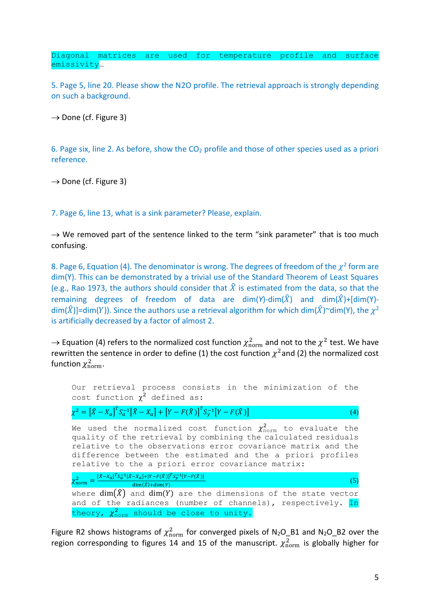Diagonal matrices are used for temperature profile and surface emissivity…

5. Page 5, line 20. Please show the N2O profile. The retrieval approach is strongly depending on such a background.

 $\rightarrow$  Done (cf. Figure 3)

6. Page six, line 2. As before, show the  $CO<sub>2</sub>$  profile and those of other species used as a priori reference.

 $\rightarrow$  Done (cf. Figure 3)

7. Page 6, line 13, what is a sink parameter? Please, explain.

 $\rightarrow$  We removed part of the sentence linked to the term "sink parameter" that is too much confusing.

8. Page 6, Equation (4). The denominator is wrong. The degrees of freedom of the  $\chi^2$  form are dim(Y). This can be demonstrated by a trivial use of the Standard Theorem of Least Squares (e.g., Rao 1973, the authors should consider that  $\hat{X}$  is estimated from the data, so that the remaining degrees of freedom of data are dim(*Y*)-dim( $\hat{X}$ ) and dim( $\hat{X}$ )+[dim(Y)dim( $\widehat{X}$ )]=dim(Y)). Since the authors use a retrieval algorithm for which dim( $\widehat{X}$ )~dim(Y), the  $\chi^2$ is artificially decreased by a factor of almost 2.

 $\rightarrow$  Equation (4) refers to the normalized cost function  $\chi^2_{\rm norm}$  and not to the  $\chi^2$  test. We have rewritten the sentence in order to define (1) the cost function  $\chi^2$ and (2) the normalized cost function  $\chi^2_{\rm norm}$ .

| Our retrieval process consists in the minimization of the<br>cost function $\chi^2$ defined as:                                                                                                                                                                                                                                  |
|----------------------------------------------------------------------------------------------------------------------------------------------------------------------------------------------------------------------------------------------------------------------------------------------------------------------------------|
| $\chi^2 = [\hat{X} - X_a]^T S_a^{-1} [\hat{X} - X_a] + [Y - F(\hat{X})]^T S_y^{-1} [Y - F(\hat{X})]$<br>(4)                                                                                                                                                                                                                      |
| We used the normalized cost function $\chi^2_{\text{norm}}$ to evaluate the<br>quality of the retrieval by combining the calculated residuals<br>relative to the observations error covariance matrix and the<br>difference between the estimated and the a priori profiles<br>relative to the a priori error covariance matrix: |
| $\chi_{\text{norm}}^2 = \frac{[\hat{x} - x_a]^T S_a^{-1} [\hat{x} - x_a] + [Y - F(\hat{x})]^T S_y^{-1} [Y - F(\hat{x})]}{\dim(\hat{x}) + \dim(Y)}$                                                                                                                                                                               |
| where $\dim(\hat{X})$ and $\dim(Y)$ are the dimensions of the state vector                                                                                                                                                                                                                                                       |
| and of the radiances (number of channels), respectively. In<br>theory, $\chi^2_{norm}$ should be close to unity.                                                                                                                                                                                                                 |

Figure R2 shows histograms of  $\chi^2_{\rm norm}$  for converged pixels of N<sub>2</sub>O\_B1 and N<sub>2</sub>O\_B2 over the region corresponding to figures 14 and 15 of the manuscript.  $\chi^2_{\rm norm}$  is globally higher for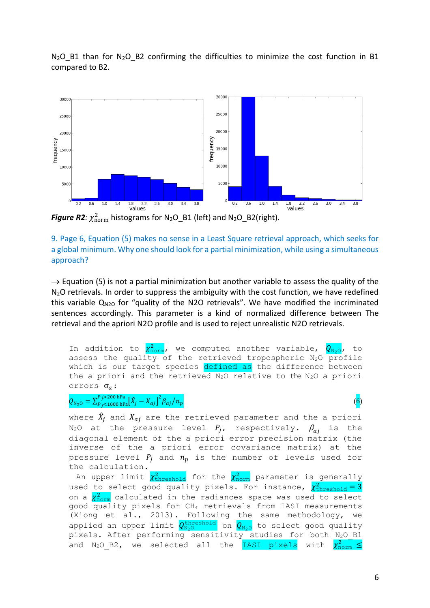$N_2O$  B1 than for  $N_2O$  B2 confirming the difficulties to minimize the cost function in B1 compared to B2.



**Figure R2**:  $\chi^2_{\text{norm}}$  histograms for N<sub>2</sub>O\_B1 (left) and N<sub>2</sub>O\_B2(right).

9. Page 6, Equation (5) makes no sense in a Least Square retrieval approach, which seeks for a global minimum. Why one should look for a partial minimization, while using a simultaneous approach?

 $\rightarrow$  Equation (5) is not a partial minimization but another variable to assess the quality of the  $N<sub>2</sub>O$  retrievals. In order to suppress the ambiguity with the cost function, we have redefined this variable  $Q_{N2O}$  for "quality of the N2O retrievals". We have modified the incriminated sentences accordingly. This parameter is a kind of normalized difference between The retrieval and the apriori N2O profile and is used to reject unrealistic N2O retrievals.

In addition to  $\chi^2_{\rm norm}$ , we computed another variable,  $Q_{\rm N_2O}$ , to assess the quality of the retrieved tropospheric N2O profile which is our target species defined as the difference between the a priori and the retrieved  $N_2O$  relative to the  $N_2O$  a priori errors  $\sigma_a$ :

 $Q_{\text{N}_2\text{O}} = \sum_{P_j < 1000 \text{ hPa}}^{P_j > 200 \text{ hPa}} \left[ \bar{X}_j - X_{aj} \right]^2 \beta_{aj} / n_p$  (6)

where  $\widehat{X}_j$  and  $X_{aj}$  are the retrieved parameter and the a priori N<sub>2</sub>O at the pressure level  $P_i$ , respectively.  $\beta_{ai}$  is the diagonal element of the a priori error precision matrix (the inverse of the a priori error covariance matrix) at the pressure level  $P_i$  and  $n_p$  is the number of levels used for the calculation.

An upper limit  $\chi^2_{\rm threshold}$  for the  $\chi^2_{\rm normal}$  parameter is generally used to select good quality pixels. For instance,  $\chi^2_{\rm threshold} = 3$ on a  $\chi^2_{\rm norm}$  calculated in the radiances space was used to select good quality pixels for CH<sup>4</sup> retrievals from IASI measurements (Xiong et al., 2013). Following the same methodology, we applied an upper limit  $Q_{\texttt{N}_2\texttt{O}}^{\texttt{threshold}}$  on  $Q_{\texttt{N}_2\texttt{O}}$  to select good quality pixels. After performing sensitivity studies for both N<sub>2</sub>O B1 and  $N_2O$  B2, we selected all the IASI pixels with  $\chi^2_{\text{norm}} \leq$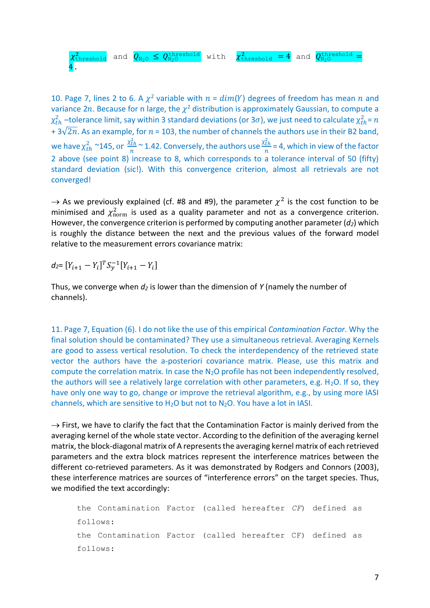$\chi^2_{\rm threshold}$  and  $Q_{\rm N_2O}\leq Q_{\rm N_2O}^{\rm threshold}$  with  $\chi^2_{\rm threshold}$  =  $4$  and  $Q_{\rm N_2O}^{\rm threshold}$  = 4.

10. Page 7, lines 2 to 6. A  $\chi^2$  variable with  $n = dim(Y)$  degrees of freedom has mean  $n$  and variance 2n. Because for n large, the  $\chi^2$  distribution is approximately Gaussian, to compute a  $\chi^2_{th}$  –tolerance limit, say within 3 standard deviations (or 3 $\sigma$ ), we just need to calculate  $\chi^2_{th}$ =  $n$  $+ 3\sqrt{2n}$ . As an example, for  $n = 103$ , the number of channels the authors use in their B2 band, we have  $\chi^2_{th}$  ~145, or  $\frac{\chi^2_{th}}{n}$  $\frac{c_{th}}{n}$  ~ 1.42. Conversely, the authors use  $\frac{\chi^2_{th}}{n}$  $\frac{tn}{n}$  = 4, which in view of the factor 2 above (see point 8) increase to 8, which corresponds to a tolerance interval of 50 (fifty) standard deviation (sic!). With this convergence criterion, almost all retrievals are not converged!

 $\rightarrow$  As we previously explained (cf. #8 and #9), the parameter  $\chi^2$  is the cost function to be minimised and  $\chi^2_{\rm norm}$  is used as a quality parameter and not as a convergence criterion. However, the convergence criterion is performed by computing another parameter (*d2*) which is roughly the distance between the next and the previous values of the forward model relative to the measurement errors covariance matrix:

 $d_2 = [Y_{i+1} - Y_i]^T S_y^{-1} [Y_{i+1} - Y_i]$ 

Thus, we converge when *d<sup>2</sup>* is lower than the dimension of *Y* (namely the number of channels).

11. Page 7, Equation (6). I do not like the use of this empirical *Contamination Factor*. Why the final solution should be contaminated? They use a simultaneous retrieval. Averaging Kernels are good to assess vertical resolution. To check the interdependency of the retrieved state vector the authors have the a-posteriori covariance matrix. Please, use this matrix and compute the correlation matrix. In case the N2O profile has not been independently resolved, the authors will see a relatively large correlation with other parameters, e.g.  $H_2O$ . If so, they have only one way to go, change or improve the retrieval algorithm, e.g., by using more IASI channels, which are sensitive to  $H_2O$  but not to  $N_2O$ . You have a lot in IASI.

 $\rightarrow$  First, we have to clarify the fact that the Contamination Factor is mainly derived from the averaging kernel of the whole state vector. According to the definition of the averaging kernel matrix, the block-diagonal matrix of A representsthe averaging kernel matrix of each retrieved parameters and the extra block matrices represent the interference matrices between the different co-retrieved parameters. As it was demonstrated by Rodgers and Connors (2003), these interference matrices are sources of "interference errors" on the target species. Thus, we modified the text accordingly:

```
the Contamination Factor (called hereafter CF) defined as 
follows:
the Contamination Factor (called hereafter CF) defined as 
follows:
```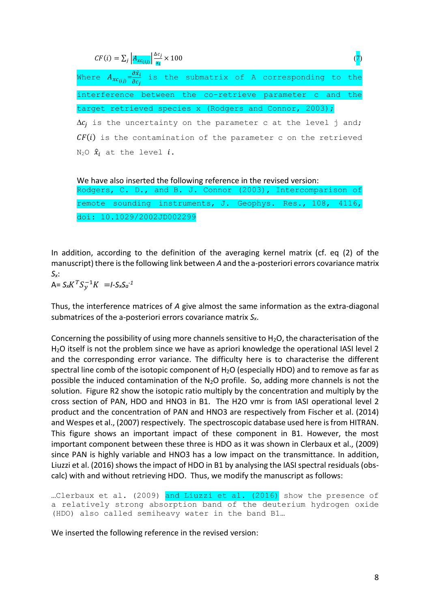| $CF(i) = \sum_j \left  A_{xc(ij)} \right  \frac{\Delta c_j}{r_i} \times 100$                          |  |
|-------------------------------------------------------------------------------------------------------|--|
| Where $A_{xc(ij)}=\frac{\partial \hat{x}_i}{\partial c_i}$ is the submatrix of A corresponding to the |  |
| interference between the co-retrieve parameter c and the                                              |  |
| target retrieved species x (Rodgers and Connor, 2003);                                                |  |
| $\Delta c_i$ is the uncertainty on the parameter c at the level j and;                                |  |
| $CF(i)$ is the contamination of the parameter c on the retrieved                                      |  |
| N <sub>2</sub> O $\hat{x}_i$ at the level $i$ .                                                       |  |
|                                                                                                       |  |

We have also inserted the following reference in the revised version: Rodgers, C. D., and B. J. Connor (2003), Intercomparison of remote sounding instruments, J. Geophys. Res., 108, 4116, doi: 10.1029/2002JD002299

In addition, according to the definition of the averaging kernel matrix (cf. eq (2) of the manuscript) there is the following link between *A* and the a-posteriori errors covariance matrix *Sx*:

 $A = S_x K^T S_y^{-1} K = I - S_x S_a^{-1}$ 

Thus, the interference matrices of *A* give almost the same information as the extra-diagonal submatrices of the a-posteriori errors covariance matrix *Sx*.

Concerning the possibility of using more channels sensitive to  $H_2O$ , the characterisation of the H2O itself is not the problem since we have as apriori knowledge the operational IASI level 2 and the corresponding error variance. The difficulty here is to characterise the different spectral line comb of the isotopic component of H<sub>2</sub>O (especially HDO) and to remove as far as possible the induced contamination of the N2O profile. So, adding more channels is not the solution. Figure R2 show the isotopic ratio multiply by the concentration and multiply by the cross section of PAN, HDO and HNO3 in B1. The H2O vmr is from IASI operational level 2 product and the concentration of PAN and HNO3 are respectively from Fischer et al. (2014) and Wespes et al., (2007) respectively. The spectroscopic database used here is from HITRAN. This figure shows an important impact of these component in B1. However, the most important component between these three is HDO as it was shown in Clerbaux et al., (2009) since PAN is highly variable and HNO3 has a low impact on the transmittance. In addition, Liuzzi et al. (2016) shows the impact of HDO in B1 by analysing the IASI spectral residuals (obscalc) with and without retrieving HDO. Thus, we modify the manuscript as follows:

...Clerbaux et al. (2009) and Liuzzi et al. (2016) show the presence of a relatively strong absorption band of the deuterium hydrogen oxide (HDO) also called semiheavy water in the band B1…

We inserted the following reference in the revised version: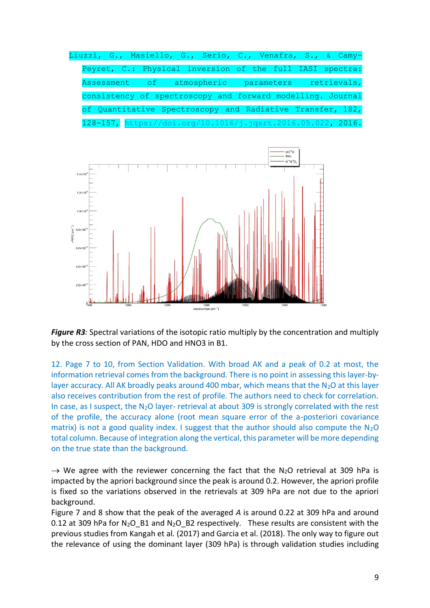



*Figure R3*: Spectral variations of the isotopic ratio multiply by the concentration and multiply by the cross section of PAN, HDO and HNO3 in B1.

12. Page 7 to 10, from Section Validation. With broad AK and a peak of 0.2 at most, the information retrieval comes from the background. There is no point in assessing this layer-bylayer accuracy. All AK broadly peaks around 400 mbar, which means that the  $N_2O$  at this layer also receives contribution from the rest of profile. The authors need to check for correlation. In case, as I suspect, the N<sub>2</sub>O layer- retrieval at about 309 is strongly correlated with the rest of the profile, the accuracy alone (root mean square error of the a-posteriori covariance matrix) is not a good quality index. I suggest that the author should also compute the  $N_2O$ total column. Because of integration along the vertical, this parameter will be more depending on the true state than the background.

 $\rightarrow$  We agree with the reviewer concerning the fact that the N<sub>2</sub>O retrieval at 309 hPa is impacted by the apriori background since the peak is around 0.2. However, the apriori profile is fixed so the variations observed in the retrievals at 309 hPa are not due to the apriori background.

Figure 7 and 8 show that the peak of the averaged *A* is around 0.22 at 309 hPa and around 0.12 at 309 hPa for  $N_2O_B1$  and  $N_2O_B2$  respectively. These results are consistent with the previous studies from Kangah et al. (2017) and Garcia et al. (2018). The only way to figure out the relevance of using the dominant layer (309 hPa) is through validation studies including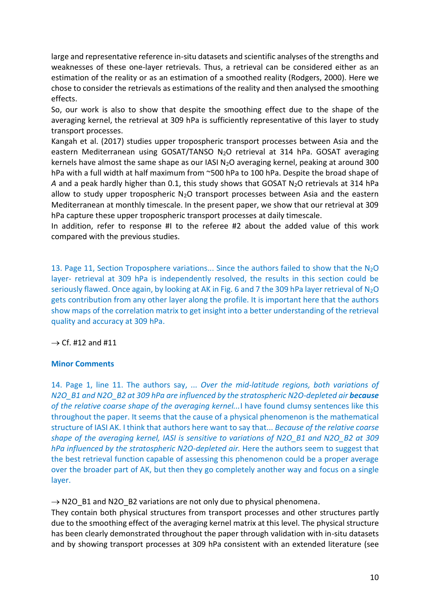large and representative reference in-situ datasets and scientific analyses of the strengths and weaknesses of these one-layer retrievals. Thus, a retrieval can be considered either as an estimation of the reality or as an estimation of a smoothed reality (Rodgers, 2000). Here we chose to consider the retrievals as estimations of the reality and then analysed the smoothing effects.

So, our work is also to show that despite the smoothing effect due to the shape of the averaging kernel, the retrieval at 309 hPa is sufficiently representative of this layer to study transport processes.

Kangah et al. (2017) studies upper tropospheric transport processes between Asia and the eastern Mediterranean using GOSAT/TANSO N<sub>2</sub>O retrieval at 314 hPa. GOSAT averaging kernels have almost the same shape as our IASI  $N_2O$  averaging kernel, peaking at around 300 hPa with a full width at half maximum from ~500 hPa to 100 hPa. Despite the broad shape of A and a peak hardly higher than 0.1, this study shows that GOSAT N<sub>2</sub>O retrievals at 314 hPa allow to study upper tropospheric  $N_2O$  transport processes between Asia and the eastern Mediterranean at monthly timescale. In the present paper, we show that our retrieval at 309 hPa capture these upper tropospheric transport processes at daily timescale.

In addition, refer to response #I to the referee #2 about the added value of this work compared with the previous studies.

13. Page 11, Section Troposphere variations... Since the authors failed to show that the N<sub>2</sub>O layer- retrieval at 309 hPa is independently resolved, the results in this section could be seriously flawed. Once again, by looking at AK in Fig. 6 and 7 the 309 hPa layer retrieval of  $N_2O$ gets contribution from any other layer along the profile. It is important here that the authors show maps of the correlation matrix to get insight into a better understanding of the retrieval quality and accuracy at 309 hPa.

 $\rightarrow$  Cf. #12 and #11

## **Minor Comments**

14. Page 1, line 11. The authors say, ... *Over the mid-latitude regions, both variations of N2O\_B1 and N2O\_B2 at 309 hPa are influenced by the stratospheric N2O-depleted air because of the relative coarse shape of the averaging kernel...*I have found clumsy sentences like this throughout the paper. It seems that the cause of a physical phenomenon is the mathematical structure of IASI AK. I think that authors here want to say that... *Because of the relative coarse shape of the averaging kernel, IASI is sensitive to variations of N2O\_B1 and N2O\_B2 at 309 hPa influenced by the stratospheric N2O-depleted air.* Here the authors seem to suggest that the best retrieval function capable of assessing this phenomenon could be a proper average over the broader part of AK, but then they go completely another way and focus on a single layer.

 $\rightarrow$  N2O B1 and N2O B2 variations are not only due to physical phenomena.

They contain both physical structures from transport processes and other structures partly due to the smoothing effect of the averaging kernel matrix at this level. The physical structure has been clearly demonstrated throughout the paper through validation with in-situ datasets and by showing transport processes at 309 hPa consistent with an extended literature (see